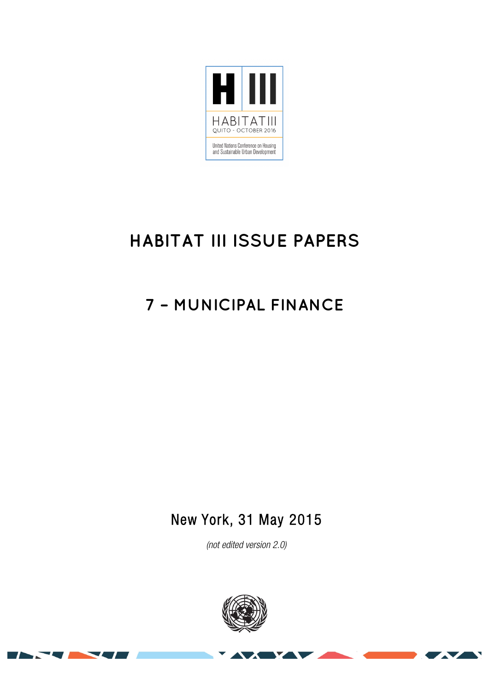

# **HABITAT III ISSUE PAPERS**

# **7 – MUNICIPAL FINANCE**

New York, 31 May 2015

(not edited version 2.0)



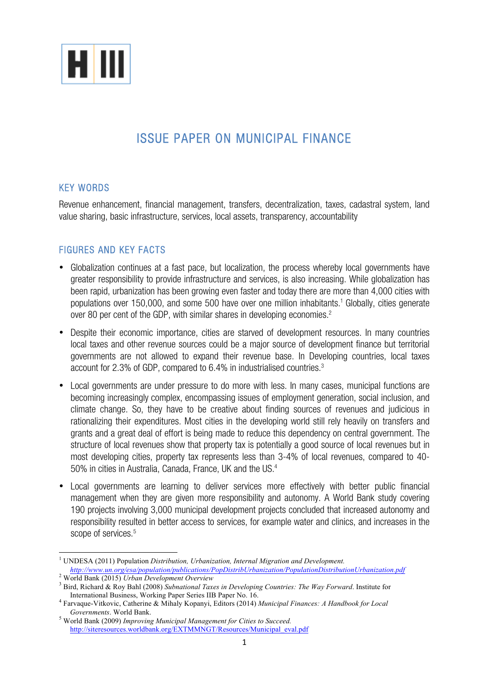

# ISSUE PAPER ON MUNICIPAL FINANCE

# KEY WORDS

Revenue enhancement, financial management, transfers, decentralization, taxes, cadastral system, land value sharing, basic infrastructure, services, local assets, transparency, accountability

# FIGURES AND KEY FACTS

- Globalization continues at a fast pace, but localization, the process whereby local governments have greater responsibility to provide infrastructure and services, is also increasing. While globalization has been rapid, urbanization has been growing even faster and today there are more than 4,000 cities with populations over 150,000, and some 500 have over one million inhabitants. <sup>1</sup> Globally, cities generate over 80 per cent of the GDP, with similar shares in developing economies.<sup>2</sup>
- Despite their economic importance, cities are starved of development resources. In many countries local taxes and other revenue sources could be a major source of development finance but territorial governments are not allowed to expand their revenue base. In Developing countries, local taxes account for 2.3% of GDP, compared to 6.4% in industrialised countries.3
- Local governments are under pressure to do more with less. In many cases, municipal functions are becoming increasingly complex, encompassing issues of employment generation, social inclusion, and climate change. So, they have to be creative about finding sources of revenues and judicious in rationalizing their expenditures. Most cities in the developing world still rely heavily on transfers and grants and a great deal of effort is being made to reduce this dependency on central government. The structure of local revenues show that property tax is potentially a good source of local revenues but in most developing cities, property tax represents less than 3-4% of local revenues, compared to 40- 50% in cities in Australia, Canada, France, UK and the US.4
- Local governments are learning to deliver services more effectively with better public financial management when they are given more responsibility and autonomy. A World Bank study covering 190 projects involving 3,000 municipal development projects concluded that increased autonomy and responsibility resulted in better access to services, for example water and clinics, and increases in the scope of services. 5

!!!!!!!!!!!!!!!!!!!!!!!!!!!!!!!!!!!!!!!!!!!!!!!!!!!!!!!!!!!!

<sup>1</sup> UNDESA (2011) Population *Distribution, Urbanization, Internal Migration and Development.*

 $\frac{2}{3}$  World Bank (2015) Urban Development Overview<br> $\frac{2}{3}$  Bird, Richard & Roy Bahl (2008) Subnational Taxes in Developing Countries: The Way Forward. Institute for International Business, Working Paper Series IIB Paper No. 16. 4 Farvaque-Vitkovic, Catherine & Mihaly Kopanyi, Editors (2014) *Municipal Finances: A Handbook for Local* 

*Governments*. World Bank. 5 World Bank (2009) *Improving Municipal Management for Cities to Succeed.* 

http://siteresources.worldbank.org/EXTMMNGT/Resources/Municipal\_eval.pdf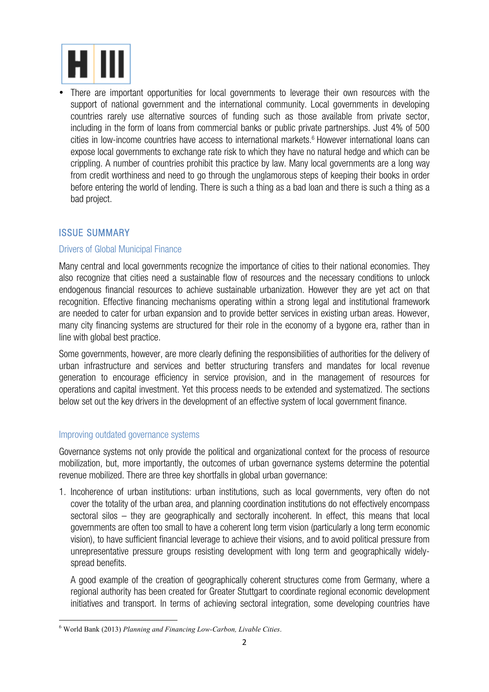

• There are important opportunities for local governments to leverage their own resources with the support of national government and the international community. Local governments in developing countries rarely use alternative sources of funding such as those available from private sector, including in the form of loans from commercial banks or public private partnerships. Just 4% of 500 cities in low-income countries have access to international markets. <sup>6</sup> However international loans can expose local governments to exchange rate risk to which they have no natural hedge and which can be crippling. A number of countries prohibit this practice by law. Many local governments are a long way from credit worthiness and need to go through the unglamorous steps of keeping their books in order before entering the world of lending. There is such a thing as a bad loan and there is such a thing as a bad project.

# ISSUE SUMMARY

### Drivers of Global Municipal Finance

Many central and local governments recognize the importance of cities to their national economies. They also recognize that cities need a sustainable flow of resources and the necessary conditions to unlock endogenous financial resources to achieve sustainable urbanization. However they are yet act on that recognition. Effective financing mechanisms operating within a strong legal and institutional framework are needed to cater for urban expansion and to provide better services in existing urban areas. However, many city financing systems are structured for their role in the economy of a bygone era, rather than in line with global best practice.

Some governments, however, are more clearly defining the responsibilities of authorities for the delivery of urban infrastructure and services and better structuring transfers and mandates for local revenue generation to encourage efficiency in service provision, and in the management of resources for operations and capital investment. Yet this process needs to be extended and systematized. The sections below set out the key drivers in the development of an effective system of local government finance.

#### Improving outdated governance systems

!!!!!!!!!!!!!!!!!!!!!!!!!!!!!!!!!!!!!!!!!!!!!!!!!!!!!!!!!!!!

Governance systems not only provide the political and organizational context for the process of resource mobilization, but, more importantly, the outcomes of urban governance systems determine the potential revenue mobilized. There are three key shortfalls in global urban governance:

1. Incoherence of urban institutions: urban institutions, such as local governments, very often do not cover the totality of the urban area, and planning coordination institutions do not effectively encompass sectoral silos – they are geographically and sectorally incoherent. In effect, this means that local governments are often too small to have a coherent long term vision (particularly a long term economic vision), to have sufficient financial leverage to achieve their visions, and to avoid political pressure from unrepresentative pressure groups resisting development with long term and geographically widelyspread benefits.

A good example of the creation of geographically coherent structures come from Germany, where a regional authority has been created for Greater Stuttgart to coordinate regional economic development initiatives and transport. In terms of achieving sectoral integration, some developing countries have

<sup>6</sup> World Bank (2013) *Planning and Financing Low-Carbon, Livable Cities*.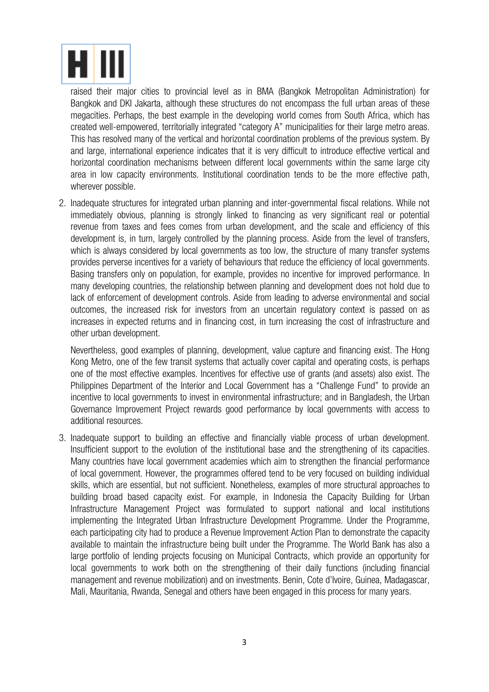

raised their major cities to provincial level as in BMA (Bangkok Metropolitan Administration) for Bangkok and DKI Jakarta, although these structures do not encompass the full urban areas of these megacities. Perhaps, the best example in the developing world comes from South Africa, which has created well-empowered, territorially integrated "category A" municipalities for their large metro areas. This has resolved many of the vertical and horizontal coordination problems of the previous system. By and large, international experience indicates that it is very difficult to introduce effective vertical and horizontal coordination mechanisms between different local governments within the same large city area in low capacity environments. Institutional coordination tends to be the more effective path, wherever possible.

2. Inadequate structures for integrated urban planning and inter-governmental fiscal relations. While not immediately obvious, planning is strongly linked to financing as very significant real or potential revenue from taxes and fees comes from urban development, and the scale and efficiency of this development is, in turn, largely controlled by the planning process. Aside from the level of transfers, which is always considered by local governments as too low, the structure of many transfer systems provides perverse incentives for a variety of behaviours that reduce the efficiency of local governments. Basing transfers only on population, for example, provides no incentive for improved performance. In many developing countries, the relationship between planning and development does not hold due to lack of enforcement of development controls. Aside from leading to adverse environmental and social outcomes, the increased risk for investors from an uncertain regulatory context is passed on as increases in expected returns and in financing cost, in turn increasing the cost of infrastructure and other urban development.

Nevertheless, good examples of planning, development, value capture and financing exist. The Hong Kong Metro, one of the few transit systems that actually cover capital and operating costs, is perhaps one of the most effective examples. Incentives for effective use of grants (and assets) also exist. The Philippines Department of the Interior and Local Government has a "Challenge Fund" to provide an incentive to local governments to invest in environmental infrastructure; and in Bangladesh, the Urban Governance Improvement Project rewards good performance by local governments with access to additional resources.

3. Inadequate support to building an effective and financially viable process of urban development. Insufficient support to the evolution of the institutional base and the strengthening of its capacities. Many countries have local government academies which aim to strengthen the financial performance of local government. However, the programmes offered tend to be very focused on building individual skills, which are essential, but not sufficient. Nonetheless, examples of more structural approaches to building broad based capacity exist. For example, in Indonesia the Capacity Building for Urban Infrastructure Management Project was formulated to support national and local institutions implementing the Integrated Urban Infrastructure Development Programme. Under the Programme, each participating city had to produce a Revenue Improvement Action Plan to demonstrate the capacity available to maintain the infrastructure being built under the Programme. The World Bank has also a large portfolio of lending projects focusing on Municipal Contracts, which provide an opportunity for local governments to work both on the strengthening of their daily functions (including financial management and revenue mobilization) and on investments. Benin, Cote d'Ivoire, Guinea, Madagascar, Mali, Mauritania, Rwanda, Senegal and others have been engaged in this process for many years.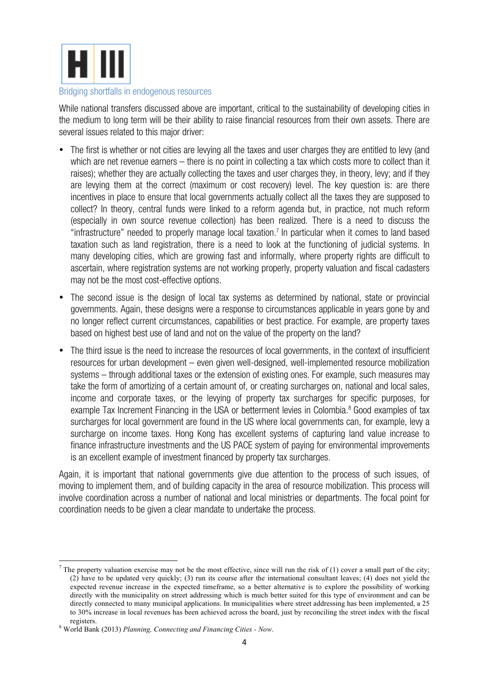

#### Bridging shortfalls in endogenous resources

While national transfers discussed above are important, critical to the sustainability of developing cities in the medium to long term will be their ability to raise financial resources from their own assets. There are several issues related to this major driver:

- The first is whether or not cities are levying all the taxes and user charges they are entitled to levy (and which are net revenue earners – there is no point in collecting a tax which costs more to collect than it raises); whether they are actually collecting the taxes and user charges they, in theory, levy; and if they are levying them at the correct (maximum or cost recovery) level. The key question is: are there incentives in place to ensure that local governments actually collect all the taxes they are supposed to collect? In theory, central funds were linked to a reform agenda but, in practice, not much reform (especially in own source revenue collection) has been realized. There is a need to discuss the "infrastructure" needed to properly manage local taxation. <sup>7</sup> In particular when it comes to land based taxation such as land registration, there is a need to look at the functioning of judicial systems. In many developing cities, which are growing fast and informally, where property rights are difficult to ascertain, where registration systems are not working properly, property valuation and fiscal cadasters may not be the most cost-effective options.
- The second issue is the design of local tax systems as determined by national, state or provincial governments. Again, these designs were a response to circumstances applicable in years gone by and no longer reflect current circumstances, capabilities or best practice. For example, are property taxes based on highest best use of land and not on the value of the property on the land?
- The third issue is the need to increase the resources of local governments, in the context of insufficient resources for urban development – even given well-designed, well-implemented resource mobilization systems – through additional taxes or the extension of existing ones. For example, such measures may take the form of amortizing of a certain amount of, or creating surcharges on, national and local sales, income and corporate taxes, or the levying of property tax surcharges for specific purposes, for example Tax Increment Financing in the USA or betterment levies in Colombia.<sup>8</sup> Good examples of tax surcharges for local government are found in the US where local governments can, for example, levy a surcharge on income taxes. Hong Kong has excellent systems of capturing land value increase to finance infrastructure investments and the US PACE system of paying for environmental improvements is an excellent example of investment financed by property tax surcharges.

Again, it is important that national governments give due attention to the process of such issues, of moving to implement them, and of building capacity in the area of resource mobilization. This process will involve coordination across a number of national and local ministries or departments. The focal point for coordination needs to be given a clear mandate to undertake the process.

!!!!!!!!!!!!!!!!!!!!!!!!!!!!!!!!!!!!!!!!!!!!!!!!!!!!!!!!!!!!

The property valuation exercise may not be the most effective, since will run the risk of (1) cover a small part of the city; (2) have to be updated very quickly; (3) run its course after the international consultant leaves; (4) does not yield the expected revenue increase in the expected timeframe, so a better alternative is to explore the possibility of working directly with the municipality on street addressing which is much better suited for this type of environment and can be directly connected to many municipal applications. In municipalities where street addressing has been implemented, a 25 to 30% increase in local revenues has been achieved across the board, just by reconciling the street index with the fiscal

registers. <sup>8</sup> World Bank (2013) *Planning, Connecting and Financing Cities - Now*.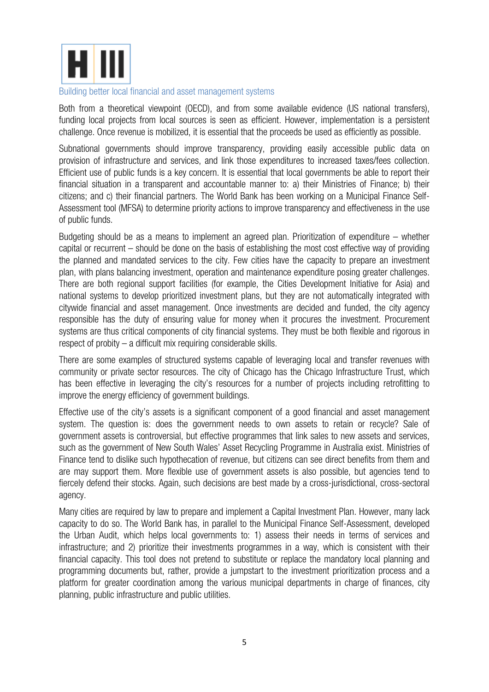

#### Building better local financial and asset management systems

Both from a theoretical viewpoint (OECD), and from some available evidence (US national transfers), funding local projects from local sources is seen as efficient. However, implementation is a persistent challenge. Once revenue is mobilized, it is essential that the proceeds be used as efficiently as possible.

Subnational governments should improve transparency, providing easily accessible public data on provision of infrastructure and services, and link those expenditures to increased taxes/fees collection. Efficient use of public funds is a key concern. It is essential that local governments be able to report their financial situation in a transparent and accountable manner to: a) their Ministries of Finance; b) their citizens; and c) their financial partners. The World Bank has been working on a Municipal Finance Self-Assessment tool (MFSA) to determine priority actions to improve transparency and effectiveness in the use of public funds.

Budgeting should be as a means to implement an agreed plan. Prioritization of expenditure – whether capital or recurrent – should be done on the basis of establishing the most cost effective way of providing the planned and mandated services to the city. Few cities have the capacity to prepare an investment plan, with plans balancing investment, operation and maintenance expenditure posing greater challenges. There are both regional support facilities (for example, the Cities Development Initiative for Asia) and national systems to develop prioritized investment plans, but they are not automatically integrated with citywide financial and asset management. Once investments are decided and funded, the city agency responsible has the duty of ensuring value for money when it procures the investment. Procurement systems are thus critical components of city financial systems. They must be both flexible and rigorous in respect of probity – a difficult mix requiring considerable skills.

There are some examples of structured systems capable of leveraging local and transfer revenues with community or private sector resources. The city of Chicago has the Chicago Infrastructure Trust, which has been effective in leveraging the city's resources for a number of projects including retrofitting to improve the energy efficiency of government buildings.

Effective use of the city's assets is a significant component of a good financial and asset management system. The question is: does the government needs to own assets to retain or recycle? Sale of government assets is controversial, but effective programmes that link sales to new assets and services, such as the government of New South Wales' Asset Recycling Programme in Australia exist. Ministries of Finance tend to dislike such hypothecation of revenue, but citizens can see direct benefits from them and are may support them. More flexible use of government assets is also possible, but agencies tend to fiercely defend their stocks. Again, such decisions are best made by a cross-jurisdictional, cross-sectoral agency.

Many cities are required by law to prepare and implement a Capital Investment Plan. However, many lack capacity to do so. The World Bank has, in parallel to the Municipal Finance Self-Assessment, developed the Urban Audit, which helps local governments to: 1) assess their needs in terms of services and infrastructure; and 2) prioritize their investments programmes in a way, which is consistent with their financial capacity. This tool does not pretend to substitute or replace the mandatory local planning and programming documents but, rather, provide a jumpstart to the investment prioritization process and a platform for greater coordination among the various municipal departments in charge of finances, city planning, public infrastructure and public utilities.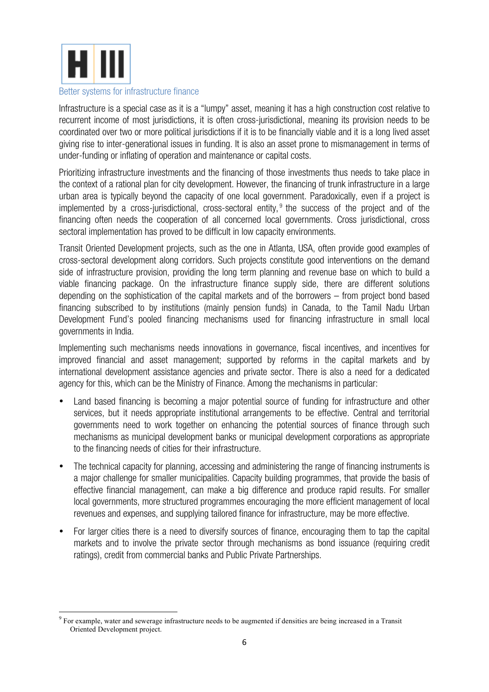

#### Better systems for infrastructure finance

!!!!!!!!!!!!!!!!!!!!!!!!!!!!!!!!!!!!!!!!!!!!!!!!!!!!!!!!!!!!

Infrastructure is a special case as it is a "lumpy" asset, meaning it has a high construction cost relative to recurrent income of most jurisdictions, it is often cross-jurisdictional, meaning its provision needs to be coordinated over two or more political jurisdictions if it is to be financially viable and it is a long lived asset giving rise to inter-generational issues in funding. It is also an asset prone to mismanagement in terms of under-funding or inflating of operation and maintenance or capital costs.

Prioritizing infrastructure investments and the financing of those investments thus needs to take place in the context of a rational plan for city development. However, the financing of trunk infrastructure in a large urban area is typically beyond the capacity of one local government. Paradoxically, even if a project is implemented by a cross-jurisdictional, cross-sectoral entity,  $9$  the success of the project and of the financing often needs the cooperation of all concerned local governments. Cross jurisdictional, cross sectoral implementation has proved to be difficult in low capacity environments.

Transit Oriented Development projects, such as the one in Atlanta, USA, often provide good examples of cross-sectoral development along corridors. Such projects constitute good interventions on the demand side of infrastructure provision, providing the long term planning and revenue base on which to build a viable financing package. On the infrastructure finance supply side, there are different solutions depending on the sophistication of the capital markets and of the borrowers – from project bond based financing subscribed to by institutions (mainly pension funds) in Canada, to the Tamil Nadu Urban Development Fund's pooled financing mechanisms used for financing infrastructure in small local governments in India.

Implementing such mechanisms needs innovations in governance, fiscal incentives, and incentives for improved financial and asset management; supported by reforms in the capital markets and by international development assistance agencies and private sector. There is also a need for a dedicated agency for this, which can be the Ministry of Finance. Among the mechanisms in particular:

- Land based financing is becoming a major potential source of funding for infrastructure and other services, but it needs appropriate institutional arrangements to be effective. Central and territorial governments need to work together on enhancing the potential sources of finance through such mechanisms as municipal development banks or municipal development corporations as appropriate to the financing needs of cities for their infrastructure.
- The technical capacity for planning, accessing and administering the range of financing instruments is a major challenge for smaller municipalities. Capacity building programmes, that provide the basis of effective financial management, can make a big difference and produce rapid results. For smaller local governments, more structured programmes encouraging the more efficient management of local revenues and expenses, and supplying tailored finance for infrastructure, may be more effective.
- For larger cities there is a need to diversify sources of finance, encouraging them to tap the capital markets and to involve the private sector through mechanisms as bond issuance (requiring credit ratings), credit from commercial banks and Public Private Partnerships.

<sup>&</sup>lt;sup>9</sup> For example, water and sewerage infrastructure needs to be augmented if densities are being increased in a Transit Oriented Development project.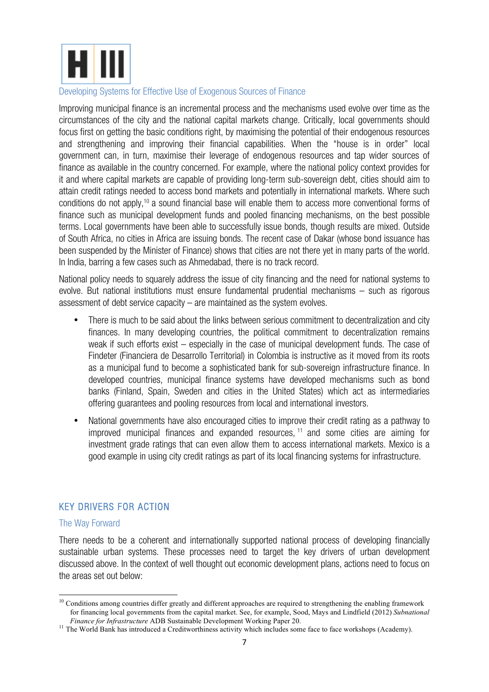

#### Developing Systems for Effective Use of Exogenous Sources of Finance

Improving municipal finance is an incremental process and the mechanisms used evolve over time as the circumstances of the city and the national capital markets change. Critically, local governments should focus first on getting the basic conditions right, by maximising the potential of their endogenous resources and strengthening and improving their financial capabilities. When the "house is in order" local government can, in turn, maximise their leverage of endogenous resources and tap wider sources of finance as available in the country concerned. For example, where the national policy context provides for it and where capital markets are capable of providing long-term sub-sovereign debt, cities should aim to attain credit ratings needed to access bond markets and potentially in international markets. Where such conditions do not apply, <sup>10</sup> a sound financial base will enable them to access more conventional forms of finance such as municipal development funds and pooled financing mechanisms, on the best possible terms. Local governments have been able to successfully issue bonds, though results are mixed. Outside of South Africa, no cities in Africa are issuing bonds. The recent case of Dakar (whose bond issuance has been suspended by the Minister of Finance) shows that cities are not there yet in many parts of the world. In India, barring a few cases such as Ahmedabad, there is no track record.

National policy needs to squarely address the issue of city financing and the need for national systems to evolve. But national institutions must ensure fundamental prudential mechanisms – such as rigorous assessment of debt service capacity – are maintained as the system evolves.

- There is much to be said about the links between serious commitment to decentralization and city finances. In many developing countries, the political commitment to decentralization remains weak if such efforts exist – especially in the case of municipal development funds. The case of Findeter (Financiera de Desarrollo Territorial) in Colombia is instructive as it moved from its roots as a municipal fund to become a sophisticated bank for sub-sovereign infrastructure finance. In developed countries, municipal finance systems have developed mechanisms such as bond banks (Finland, Spain, Sweden and cities in the United States) which act as intermediaries offering guarantees and pooling resources from local and international investors.
- National governments have also encouraged cities to improve their credit rating as a pathway to improved municipal finances and expanded resources,  $11$  and some cities are aiming for investment grade ratings that can even allow them to access international markets. Mexico is a good example in using city credit ratings as part of its local financing systems for infrastructure.

# KEY DRIVERS FOR ACTION

!!!!!!!!!!!!!!!!!!!!!!!!!!!!!!!!!!!!!!!!!!!!!!!!!!!!!!!!!!!!

# The Way Forward

There needs to be a coherent and internationally supported national process of developing financially sustainable urban systems. These processes need to target the key drivers of urban development discussed above. In the context of well thought out economic development plans, actions need to focus on the areas set out below:

<sup>&</sup>lt;sup>10</sup> Conditions among countries differ greatly and different approaches are required to strengthening the enabling framework for financing local governments from the capital market. See, for example, Sood, Mays and Lindfield (2012) *Subnational* 

<sup>&</sup>lt;sup>11</sup> The World Bank has introduced a Creditworthiness activity which includes some face to face workshops (Academy).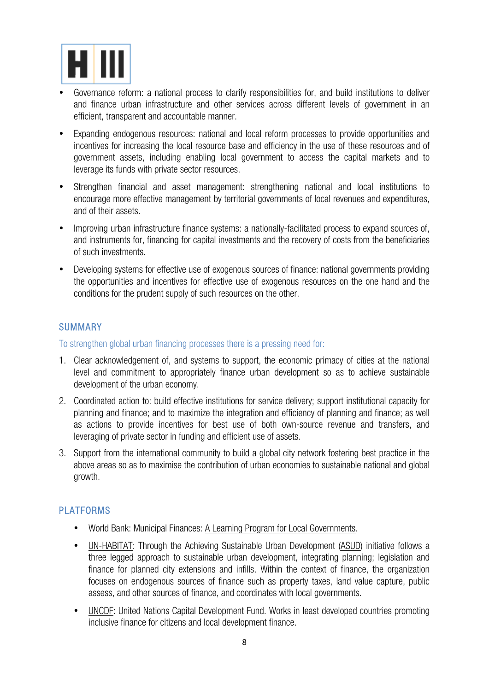

- Governance reform: a national process to clarify responsibilities for, and build institutions to deliver and finance urban infrastructure and other services across different levels of government in an efficient, transparent and accountable manner.
- Expanding endogenous resources: national and local reform processes to provide opportunities and incentives for increasing the local resource base and efficiency in the use of these resources and of government assets, including enabling local government to access the capital markets and to leverage its funds with private sector resources.
- Strengthen financial and asset management: strengthening national and local institutions to encourage more effective management by territorial governments of local revenues and expenditures, and of their assets.
- Improving urban infrastructure finance systems: a nationally-facilitated process to expand sources of, and instruments for, financing for capital investments and the recovery of costs from the beneficiaries of such investments.
- Developing systems for effective use of exogenous sources of finance: national governments providing the opportunities and incentives for effective use of exogenous resources on the one hand and the conditions for the prudent supply of such resources on the other.

# SUMMARY

To strengthen global urban financing processes there is a pressing need for:

- 1. Clear acknowledgement of, and systems to support, the economic primacy of cities at the national level and commitment to appropriately finance urban development so as to achieve sustainable development of the urban economy.
- 2. Coordinated action to: build effective institutions for service delivery; support institutional capacity for planning and finance; and to maximize the integration and efficiency of planning and finance; as well as actions to provide incentives for best use of both own-source revenue and transfers, and leveraging of private sector in funding and efficient use of assets.
- 3. Support from the international community to build a global city network fostering best practice in the above areas so as to maximise the contribution of urban economies to sustainable national and global growth.

# PLATFORMS

- World Bank: Municipal Finances: A Learning Program for Local Governments.
- UN-HABITAT: Through the Achieving Sustainable Urban Development (ASUD) initiative follows a three legged approach to sustainable urban development, integrating planning; legislation and finance for planned city extensions and infills. Within the context of finance, the organization focuses on endogenous sources of finance such as property taxes, land value capture, public assess, and other sources of finance, and coordinates with local governments.
- UNCDF: United Nations Capital Development Fund. Works in least developed countries promoting inclusive finance for citizens and local development finance.